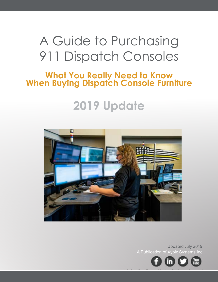# A Guide to Purchasing 911 Dispatch Consoles

# **What You Really Need to Know When Buying Dispatch Console Furniture**

# **2019 Update**



A Publication of Xybix Systems Inc. Updated July 2019

A Publication of Xybix Systems Inc. 1

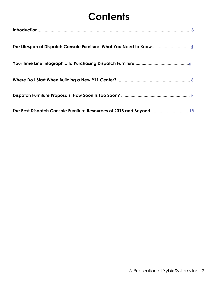# **Contents**

| The Lifespan of Dispatch Console Furniture: What You Need to Know4  |
|---------------------------------------------------------------------|
|                                                                     |
|                                                                     |
|                                                                     |
| The Best Dispatch Console Furniture Resources of 2018 and Beyond 15 |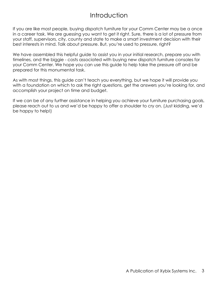## **Introduction**

If you are like most people, buying dispatch furniture for your Comm Center may be a once in a career task. We are guessing you want to get it right. Sure, there is a lot of pressure from your staff, supervisors, city, county and state to make a smart investment decision with their best interests in mind. Talk about pressure. But, you're used to pressure, right?

We have assembled this helpful guide to assist you in your initial research, prepare you with timelines, and the biggie - costs associated with buying new dispatch furniture consoles for your Comm Center. We hope you can use this guide to help take the pressure off and be prepared for this monumental task.

As with most things, this guide can't teach you everything, but we hope it will provide you with a foundation on which to ask the right questions, get the answers you're looking for, and accomplish your project on time and budget.

If we can be of any further assistance in helping you achieve your furniture purchasing goals, please reach out to us and we'd be happy to offer a shoulder to cry on. (Just kidding, we'd be happy to help!)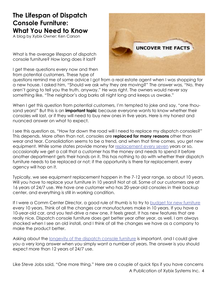# **The Lifespan of Dispatch Console Furniture: What You Need to Know**

A blog by Xybix Owner: Ken Carson

What is the average lifespan of dispatch console furniture? How long does it last?

I get these questions every now and then from potential customers. These type of



questions remind me of some advice I got from a real estate agent when I was shopping for a new house. I asked him, "Should we ask why they are moving?" The answer was, "No, they aren't going to tell you the truth, anyway." He was right. The owners would never say something like, "The neighbor's dog barks all night long and keeps us awake."

When I get this question from potential customers, I'm tempted to joke and say, "one thousand years!" But this is an **important topic** because everyone wants to know whether their consoles will last, or if they will need to buy new ones in five years. Here is my honest and nuanced answer on what to expect.

I see this question as, "How far down the road will I need to replace my dispatch consoles?" This depends. More often than not, consoles are **replaced for many reasons** other than wear and tear. Consolidation seems to be a trend, and when that time comes, you get new equipment. While some states provide money for [replacement every seven](https://blog.xybix.com/what-is-the-average-lifespan-of-a-dispatch-console) years or so, occasionally we get a call that a customer has the money and needs to spend it before another department gets their hands on it. This has nothing to do with whether their dispatch furniture needs to be replaced or not; if the opportunity is there for replacement, every agency will hop on it.

Typically, we see equipment replacement happen in the 7-12 year range, so about 10 years. Will you have to replace your furniture in 10 years? Not at all. Some of our customers are at 16 years of 24/7 use. We have one customer who has 20-year-old consoles in their backup center, and everything is still in working condition.

If I were a Comm Center Director, a good rule of thumb is to try to [budget for new furniture](https://blog.xybix.com/budgeting-costs-associated-with-console-furniture-make-sure-you-dont-get-fed-to-the-sharks) every 10 years. Think of all the changes car manufacturers make in 10 years. If you have a 10-year-old car, and you test-drive a new one, it feels great. It has new features that are really nice. Dispatch console furniture does get better year after year, as well. I am always shocked when I see an old install, and I think of all the changes we have as a company to make the product better.

Asking about the [longevity of the dispatch console furniture](https://blog.xybix.com/what-does-for-the-lifetime-of-your-dispatch-console-really-mean) is important, and I could give you a very long answer when you simply want a number of years. The answer is you should expect more than 12 years of 24/7 use.

A Publication of Xybix Systems Inc. 4 Like Steve Jobs said, "One more thing." Here are a couple of quick tips if you have concerns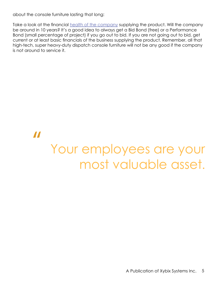about the console furniture lasting that long:

Take a look at the financial [health of the company](https://blog.xybix.com/happy-birthday-xybix-28-years-later) supplying the product. Will the company be around in 10 years? It's a good idea to always get a Bid Bond (free) or a Performance Bond (small percentage of project) if you go out to bid. If you are not going out to bid, get current or at least basic financials of the business supplying the product. Remember, all that high-tech, super heavy-duty dispatch console furniture will not be any good if the company is not around to service it.

"

# Your employees are your most valuable asset.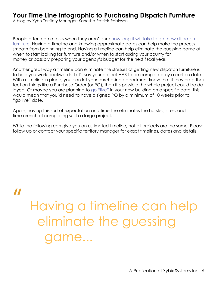## **Your Time Line Infographic to Purchasing Dispatch Furniture**

A blog by Xybix Territory Manager: Kanesha Patrick-Robinson

People often come to us when they aren't sure how long it will take to get new dispatch [furniture](https://blog.xybix.com/how-long-does-it-take-to-get-new-dispatch-consoles). Having a timeline and knowing approximate dates can help make the process smooth from beginning to end. Having a timeline can help eliminate the guessing game of when to start looking for furniture and/or when to start asking your county for money or possibly preparing your agency's budget for the next fiscal year.

Another great way a timeline can eliminate the stresses of getting new dispatch furniture is to help you work backwards. Let's say your project HAS to be completed by a certain date. With a timeline in place, you can let your purchasing department know that if they drag their feet on things like a Purchase Order (or PO), then it's possible the whole project could be delayed. Or maybe you are planning to [go "live"](https://blog.xybix.com/dispatch-furniture-proposals-how-soon-is-too-soon) in your new building on a specific date, this would mean that you'd need to have a signed PO by a minimum of 10 weeks prior to "go live" date.

Again, having this sort of expectation and time line eliminates the hassles, stress and time crunch of completing such a large project.

While the following can give you an estimated timeline, not all projects are the same. Please follow up or contact your specific territory manager for exact timelines, dates and details.

"

# Having a timeline can help eliminate the guessing game...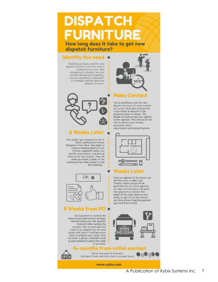# **DISPATCH**

How long does it take to get new dispatch furniture?

#### Identify the need .

Realizing you have a need for new dispatch furniture is the first step in taking action is your cable management a disaster, are your consoles old and out of warranty. are your ergonomics in jeopardy? It's probably time for some new dispatch furniture.



#### 2 Weeks Later a

Your project gets assigned to one of Xybix's professional Interior Designers. From there, they begin to create a drawing based on your timeline, equipment needs, you specific requirements, and desired features for the consoles. They will email you within 2 weeks of the meeting and provide a blueprint and 30 renderings.



#### 8 Weeks from PO .

Once payment is received, the materials are ordered then we begin manufacturing your new dispatch furniture! After building the consoles, they are packaged and ready to be shipped! You will work closely with Xybix's Field Operations Team to schedule your install. Once the order is placed, scheduled install is approximately 8 weeks from date of purchase.

OPEN



#### **Make Contac**

You've identified a need for new<br>dispatch furniture, it's time to reach out to your local sales professional to do a meet & measure of the<br>proposed space for design. This design will address how your specific<br>center operates. This will also be the time to discuss your timeline. equipment needs.

requirements and desired features.



#### **Weeks Later**

Once you approve of the layout, you will then start to select your finishes, thend a quote will be generated for you. After approval, you sign the final layout and quote. then payment is received. The length of this step varies on who needs to sign-off on the contract and the process of getting payment. approved & processed.





• months from initial contac

www.xybbc.com

∙פ∍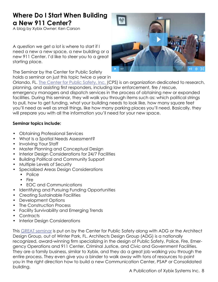## **Where Do I Start When Building a New 911 Center?**

A blog by Xybix Owner: Ken Carson

A question we get a lot is where to start if I need a new a new space, a new building or a new 911 Center. I'd like to steer you to a great starting place.

The Seminar by the Center for Public Safety holds a seminar on just this topic twice a year in



Orlando, FL. [The Center for Public Safety, Inc.](http://www.centerforpublicsafety.org/) (CPS) is an organization dedicated to research, planning, and assisting first responders, including law enforcement, fire / rescue, emergency managers and dispatch services in the process of obtaining new or expanded facilities. During this seminar, they will walk you through items such as: which political strings to pull, how to get funding, what your building needs to look like, how many square feet you'll need as well as small things, like how many parking places you'll need. Basically, they will prepare you with all the information you'll need for your new space.

#### **Seminar topics include:**

- Obtaining Professional Services
- What Is a Spatial Needs Assessment?
- Involving Your Staff
- Master Planning and Conceptual Design
- Interior Design Considerations for 24/7 Facilities
- Building Political and Community Support
- Multiple Levels of Security
- Specialized Areas Design Considerations
	- Police
	- Fire
	- EOC and Communications
- Identifying and Pursuing Funding Opportunities
- Creating Sustainable Facilities
- Development Options
- The Construction Process
- Facility Survivability and Emerging Trends
- Contracts
- Interior Design Considerations

This [GREAT seminar](http://www.centerforpublicsafety.org/seminar-information/) is put on by the Center for Public Safety along with ADG or the Architect Design Group, out of Winter Park, FL. Architects Design Group (ADG) is a nationally recognized, award-winning firm specializing in the design of Public Safety, Police, Fire, Emergency Operations and 911 Center, Criminal Justice, and Civic and Government Facilities. They are a family business, similar to Xybix, and they do a great job walking you through the entire process. They even give you a binder to walk away with tons of resources to point you in the right direction how to build a new Communication Center, PSAP or Consolidated building.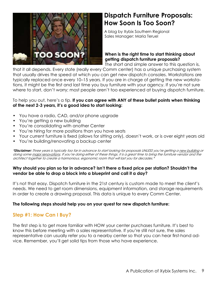

# **Dispatch Furniture Proposals: How Soon Is Too Soon?**

A blog by Xybix Southern Regional Sales Manager: Maria Teruel

#### **When is the right time to start thinking about getting dispatch furniture proposals?**

The short and simple answer to this question is,

that it all depends. Every state (really every Comm center) has a unique purchasing system that usually drives the speed at which you can get new dispatch consoles. Workstations are typically replaced once every 10–15 years. If you are in charge of getting the new workstations, it might be the first and last time you buy furniture with your agency. If you're not sure where to start, don't worry; most people aren't too experienced at buying dispatch furniture.

#### To help you out, here's a tip. **If you can agree with ANY of these bullet points when thinking of the next 2-3 years, it's a good idea to start looking:**

- You have a radio, CAD, and/or phone upgrade
- You're getting a new building
- You're consolidating with another Center
- You're hiring for more positions than you have seats
- Your current furniture is fixed (allows for sitting only), doesn't work, or is over eight years old
- You're building/renovating a backup center

**\*Disclaimer:** Three years is typically too far in advance to start looking for proposals UNLESS you're getting a new building or doing some major renovations. If you're doing either of these things, it is a great time to bring the furniture vendor and the architect together to create a harmonious, ergonomic room that will last you for decades.\*

#### **Why should you plan so far in advance? Isn't there a fixed price per station? Shouldn't the vendor be able to drop a block into a blueprint and call it a day?**

It's not that easy. Dispatch furniture in the 21st century is custom made to meet the client's needs. We need to get room dimensions, equipment information, and storage requirements in order to create a drawing proposal. This data is unique to every Comm Center.

#### **The following steps should help you on your quest for new dispatch furniture:**

#### **Step #1: How Can I Buy?**

The first step is to get more familiar with HOW your center purchases furniture. It's best to know this before meeting with a sales representative. If you're still not sure, the sales representative can usually refer you to a nearby center so that you can hear first-hand advice. Remember, you'll get solid tips from those who have experience.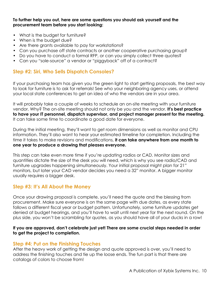#### **To further help you out, here are some questions you should ask yourself and the procurement team before you start looking:**

- What is the budget for furniture?
- When is the budget due?
- Are there grants available to pay for workstations?
- Can you purchase off state contracts or another cooperative purchasing group?
- Do you have to conduct a formal RFP, or can you simply collect three quotes?
- Can you "sole-source" a vendor or "piggyback" off of a contract?

#### **Step #2: Siri, Who Sells Dispatch Consoles?**

If your purchasing team has given you the green light to start getting proposals, the best way to look for furniture is to ask for referrals! See who your neighboring agency uses, or attend your local state conferences to get an idea of who the vendors are in your area.

It will probably take a couple of weeks to schedule an on-site meeting with your furniture vendor. Why? The on-site meeting should not only be you and the vendor. **It's best practice to have your IT personnel, dispatch supervisor, and project manager present for the meeting.**  It can take some time to coordinate a good date for everyone.

During the initial meeting, they'll want to get room dimensions as well as monitor and CPU information. They'll also want to hear your estimated timeline for completion. Including the time it takes to make revisions and modifications, **it can take anywhere from one month to one year to produce a drawing that pleases everyone.**

This step can take even more time if you're updating radios or CAD. Monitor sizes and quantities dictate the size of the desk you will need, which is why you see radio/CAD and furniture upgrades happening simultaneously. Your initial proposal might plan for 21" monitors, but later your CAD vendor decides you need a 32" monitor. A bigger monitor usually requires a bigger desk.

#### **Step #3: It's All About the Money**

Once your drawing proposal is complete, you'll need the quote and the blessing from procurement. Make sure everyone is on the same page with due dates, as every state follows a different fiscal year or budget pattern. Unfortunately, some furniture updates get denied at budget hearings, and you'll have to wait until next year for the next round. On the plus side, you won't be scrambling for quotes, as you should have all of your ducks in a row!

#### **If you are approved, don't celebrate just yet! There are some crucial steps needed in order to get the project to completion.**

#### **Step #4: Put on the Finishing Touches**

After the heavy work of getting the design and quote approved is over, you'll need to address the finishing touches and tie up the loose ends. The fun part is that there are catalogs of colors to choose from!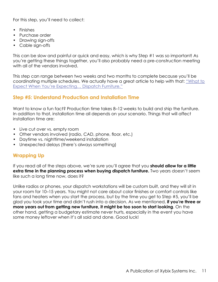For this step, you'll need to collect:

- Finishes
- Purchase order
- Drawing sign-offs
- Cable sign-offs

This can be slow and painful or quick and easy, which is why Step #1 was so important! As you're getting these things together, you'll also probably need a pre-construction meeting with all of the vendors involved.

This step can range between two weeks and two months to complete because you'll be coordinating multiple schedules. We actually have a great article to help with that: ["What to](https://blog.xybix.com/what-to-expect-when-youre-expecting...dispatch-furniture)  [Expect When You're Expecting… Dispatch Furniture."](https://blog.xybix.com/what-to-expect-when-youre-expecting...dispatch-furniture)

#### **Step #5: Understand Production and Installation Time**

Want to know a fun fact? Production time takes 8–12 weeks to build and ship the furniture. In addition to that, installation time all depends on your scenario. Things that will affect installation time are:

- Live cut over vs. empty room
- Other vendors involved (radio, CAD, phone, floor, etc.)
- Daytime vs. nighttime/weekend installation
- Unexpected delays (there's always something)

#### **Wrapping Up**

If you read all of the steps above, we're sure you'll agree that you **should allow for a little extra time in the planning process when buying dispatch furniture.** Two years doesn't seem like such a long time now, does it?

Unlike radios or phones, your dispatch workstations will be custom built, and they will sit in your room for 10–15 years. You might not care about color finishes or comfort controls like fans and heaters when you start the process, but by the time you get to Step #5, you'll be glad you took your time and didn't rush into a decision. As we mentioned, **if you're three or more years out from getting new furniture, it might be too soon to start looking**. On the other hand, getting a budgetary estimate never hurts, especially in the event you have some money leftover when it's all said and done. Good luck!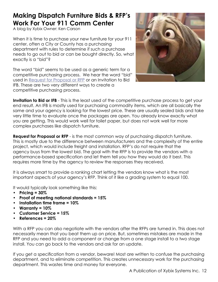# **Making Dispatch Furniture Bids & RFP's Work For Your 911 Comm Center**

A blog by Xybix Owner: Ken Carson

When it is time to purchase your new furniture for your 911 center, often a City or County has a purchasing department with rules to determine if such a purchase needs to go out to bid or can be bought directly. So, what exactly is a "bid"?

The word "bid" seems to be used as a generic term for a competitive purchasing process. We hear the word "bid" used in [Request for Proposal or RFP](https://blog.xybix.com/the-ultimate-guide-to-writing-a-great-rfp-for-dispatch-furniture) or an Invitation to Bid IFB. These are two very different ways to create a competitive purchasing process.



**Invitation to Bid or IFB** - This is the least used of the competitive purchase process to get your end result. An IFB is mostly used for purchasing commodity items, which are all basically the same and your agency is looking for the lowest price. These are usually sealed bids and take very little time to evaluate once the packages are open. You already know exactly what you are getting. This would work well for toilet paper, but does not work well for more complex purchases like dispatch furniture.

**Request for Proposal or RFP** - is the most common way of purchasing dispatch furniture. This is mostly due to the difference between manufacturers and the complexity of the entire project, which would include freight and installation. RFP's do not require that the agency buys from the lowest bid. The goal with the RFP is to provide the vendors with a performance-based specification and let them tell you how they would do it best. This requires more time by the agency to review the responses they received.

It is always smart to provide a ranking chart letting the vendors know what is the most important aspects of your agency's RFP. Think of it like a grading system to equal 100.

It would typically look something like this:

- **• Pricing = 30%**
- **• Proof of meeting national standards = 15%**
- **• Installation time frame = 10%**
- **• Warranty = 10%**
- **• Customer Service = 15%**
- **• References = 20%**

With a RFP you can also negotiate with the vendors after the RFPs are turned in. This does not necessarily mean that you beat them up on price. But, sometimes mistakes are made in the RFP and you need to add a component or change from a one stage install to a two stage install. You can go back to the vendors and ask for an update.

If you get a specification from a vendor, beware! Most are written to confuse the purchasing department, and to eliminate competition. This creates unnecessary work for the purchasing department. This wastes time and money for everyone.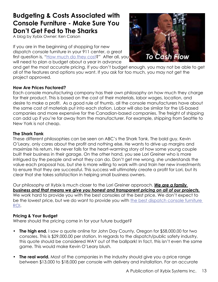## **Budgeting & Costs Associated with Console Furniture - Make Sure You Don't Get Fed to The Sharks**

A blog by Xybix Owner: Ken Carson

If you are in the beginning of shopping for new dispatch console furniture in your 911 center, a great first question is, "H[ow much do they cost?](https://blog.xybix.com/dispatch-furniture-cost-options-and-features)" After all, you will need to plan a budget about a year in advance



and get the most accurate pricing. If you don't budget enough, you may not be able to get all of the features and options you want. If you ask for too much, you may not get the project approved.

#### **How Are Prices Factored?**

Each console manufacturing company has their own philosophy on how much they charge for their product. This is based on the cost of their materials, labor wages, location, and desire to make a profit. As a good rule of thumb, all the console manufacturers have about the same cost of materials put into each station. Labor will also be similar for the US-based companies and more expensive for the Canadian-based companies. The freight of shipping can add up if you're far away from the manufacturer. For example, shipping from Seattle to New York is not cheap.

#### **The Shark Tank**

These different philosophies can be seen on ABC's the Shark Tank. The bald guy, Kevin O'Leary, only cares about the profit and nothing else. He wants to drive up margins and maximize his return. He never falls for the heart-warming story of how some young couple built their business in their garage. On the other hand, you see Lori Greiner who is more intrigued by the people and what they can do. Don't get me wrong, she understands the value each proposal has, but she is more willing to work with and train her new investments to ensure that they are successful. This success will ultimately create a profit for Lori, but its clear that she takes satisfaction in helping small business owners.

Our philosophy at Xybix is much closer to the Lori Greiner approach. *We are a family business and that means we give you honest and transparent pricing on all of our projects.* We work hard to provide you with the best consoles at the best price. We don't expect to be the lowest price, but we do want to provide you with [the best dispatch console furniture](https://blog.xybix.com/return-on-investment-help-both-you-and-your-dispatchers-get-the-most-out-of-your-consoles)  [ROI](https://blog.xybix.com/return-on-investment-help-both-you-and-your-dispatchers-get-the-most-out-of-your-consoles).

#### **Pricing & Your Budget**

Where should the pricing come in for your future budget?

- **• The high end.** I saw a quote online for John Day County, Oregon for \$58,000.00 for two consoles. This is \$29,000.00 per station. In regards to the dispatch/public safety industry, this quote should be considered WAY out of the ballpark! In fact, this isn't even the same game. This would make Kevin O'Leary blush.
- **The real world.** Most of the companies in the industry should give you a price range between \$13,000 to \$18,000 per console with delivery and installation. For an accurate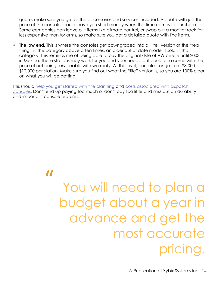quote, make sure you get all the accessories and services included. A quote with just the price of the consoles could leave you short money when the time comes to purchase. Some companies can leave out items like climate control, or swap out a monitor rack for less expensive monitor arms, so make sure you get a detailed quote with line items.

**The low end.** This is where the consoles get downgraded into a "lite" version of the "real thing" in the category above often times, an older out of date model is sold in this category. This reminds me of being able to buy the original style of VW beetle until 2003 in Mexico. These stations may work for you and your needs, but could also come with the price of not being serviceable with warranty. At this level, consoles range from \$8,000 - \$12,000 per station. Make sure you find out what the "lite" version is, so you are 100% clear on what you will be getting.

This should [help you get started with the planning](https://blog.xybix.com/dispatch-furniture-proposals-how-soon-is-too-soon) and [costs associated with dispatch](https://blog.xybix.com/how-to-justify-the-high-price-of-dispatch-furniture)  [consoles](https://blog.xybix.com/how-to-justify-the-high-price-of-dispatch-furniture). Don't end up paying too much or don't pay too little and miss out on durability and important console features.

"

# You will need to plan a budget about a year in advance and get the most accurate pricing.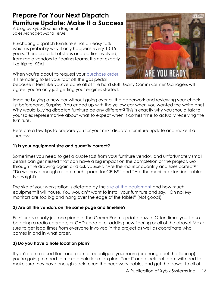## **Prepare For Your Next Dispatch Furniture Update: Make It a Success**

A blog by Xybix Southern Regional Sales Manager: Maria Teruel

Purchasing dispatch furniture is not an easy task, which is probably why it only happens every 10-15 years. There are a lot of steps and parties involved, from radio vendors to flooring teams. It's not exactly like trip to IKEA!

When you're about to request your [purchase order](https://blog.xybix.com/your-timeline-info-graphic-to-purchasing-dispatch-furniture), it's tempting to let your foot off the gas pedal



because it feels like you've done all of the hard stuff. Many Comm Center Managers will agree, you're only just getting your engines started.

Imagine buying a new car without going over all the paperwork and reviewing your checklist beforehand. Surprise! You ended up with the yellow car when you wanted the white one! Why would buying dispatch furniture be any different? This is exactly why you should talk to your sales representative about what to expect when it comes time to actually receiving the furniture.

Here are a few tips to prepare you for your next dispatch furniture update and make it a success:

#### **1) Is your equipment size and quantity correct?**

Sometimes you need to get a quote fast from your furniture vendor, and unfortunately small details can get missed that can have a big impact on the completion of the project. Go through the drawing again and ask yourself, "Are the monitor quantity and sizes correct?" "Do we have enough or too much space for CPUs?" and "Are the monitor extension cables types right?".

The size of your workstation is dictated by the [size of the equipment](https://blog.xybix.com/is-your-911-comm-center-ready-for-the-future) and how much equipment it will house. You wouldn't want to install your furniture and say, "Oh no! My monitors are too big and hang over the edge of the table!" (Not good!)

#### **2) Are all the vendors on the same page and timeline?**

Furniture is usually just one piece of the Comm Room update puzzle. Often times you'll also be doing a radio upgrade, or CAD update, or adding new flooring or all of the above! Make sure to get lead times from everyone involved in the project as well as coordinate who comes in and in what order.

#### **3) Do you have a hole location plan?**

If you're on a raised floor and plan to reconfigure your room (or change out the flooring), you're going to need to make a hole location plan. Your IT and electrical team will need to make sure they have enough slack to run the necessary cables and get the power to all of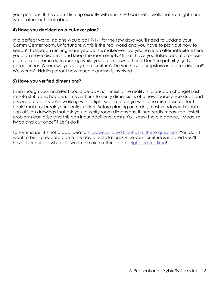your positions. If they don't line up exactly with your CPU cabinets...well, that's a nightmare we'd rather not think about.

#### **4) Have you decided on a cut-over plan?**

In a perfect world, no one would call 9-1-1 for the few days you'll need to update your Comm Center room. Unfortunately, this is the real world and you have to plan out how to keep 911 dispatch running while you do this makeover. Do you have an alternate site where you can move dispatch and keep the room empty? If not, have you talked about a phase plan to keep some desks running while you breakdown others? Don't forget nitty-gritty details either. Where will you stage the furniture? Do you have dumpsters on site for disposal? We weren't kidding about how much planning is involved.

#### **5) Have you verified dimensions?**

Even though your architect could be DaVinci himself, the reality is, plans can change! Last minute stuff does happen. It never hurts to verify dimensions of a new space once studs and drywall are up. If you're working with a tight space to begin with, one mismeasured foot could make or break your configuration. Before placing an order, most vendors will require sign-offs on drawings that ask you to verify room dimensions. If incorrectly measured, install problems can arise and this can incur additional costs. You know the old adage, "Measure twice and cut once"? Let's do it!

To summarize, it's not a bad idea to [sit down and work out all of these questions](https://blog.xybix.com/complete-your-comm-center-design-with-a-live-iteractive-meeting). You don't want to be ill-prepared come the day of installation. Once your furniture is installed you'll have it for quite a while. It's worth the extra effort to do it [right the first time](https://blog.xybix.com/dispatch-furniture-project-checklist-project-success-done)!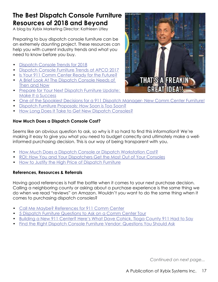# **The Best Dispatch Console Furniture Resources of 2018 and Beyond**

A blog by Xybix Marketing Director: Kathleen Utley

Preparing to buy dispatch console furniture can be an extremely daunting project. These resources can help you with current industry trends and what you need to know before you buy.

- [Dispatch Console Trends for 2018](https://blog.xybix.com/dispatch-console-trends-for-2018)
- [Dispatch Console Furniture Trends at APCO 2017](https://blog.xybix.com/dispatch-console-furniture-trends-at-apco-2017)
- [Is Your 911 Comm Center Ready for the Future?](https://blog.xybix.com/is-your-911-comm-center-ready-for-the-future)
- [A Brief Look At The Dispatch Console Needs of](https://blog.xybix.com/a-brief-look-at-the-dispatch-console-needs-then-and-now)  [Then and Now](https://blog.xybix.com/a-brief-look-at-the-dispatch-console-needs-then-and-now)
- Prepare for Your Next Dispatch Furniture Update: [Make It a Success](https://blog.xybix.com/prepare-for-your-next-dispatch-furniture-update-make-it-a-success)



- One of the Spookiest Decisions for a 911 Dispatch Manager-New Comm Center Furniture!
- [Dispatch Furniture Proposals: How Soon is Too Soon?](https://blog.xybix.com/dispatch-furniture-proposals-how-soon-is-too-soon)
- [How Long Does It Take to Get New Dispatch Consoles?](https://blog.xybix.com/how-long-does-it-take-to-get-new-dispatch-consoles)

#### **How Much Does a Dispatch Console Cost?**

Seems like an obvious question to ask, so why is it so hard to find this information? We're making it easy to give you what you need to budget correctly and ultimately make a wellinformed purchasing decision. This is our way of being transparent with you.

- [How Much Does a Dispatch Console or Dispatch Workstation Cost?](https://blog.xybix.com/how-much-does-a-dispatch-console-or-dispatch-workstation-cost)
- [ROI: How You and Your Dispatchers Get the Most Out of Your Consoles](https://blog.xybix.com/return-on-investment-help-both-you-and-your-dispatchers-get-the-most-out-of-your-consoles)
- [How to Justify the High Price of Dispatch Furniture](https://blog.xybix.com/how-to-justify-the-high-price-of-dispatch-furniture)

#### **References, Resources & Referrals**

Having good references is half the battle when it comes to your next purchase decision. Calling a neighboring county or asking about a purchase experience is the same thing we do when we read "reviews" on Amazon. Wouldn't you want to do the same thing when it comes to purchasing dispatch consoles?

- [Call Me Maybe? References for 911 Comm Center](https://blog.xybix.com/call-me-maybe-references-for-911-comm-centers)
- [5 Dispatch Furniture Questions to Ask on a Comm Center Tour](https://blog.xybix.com/5-dispatch-furniture-questions-to-ask-on-a-comm-center-tour)
- [Building a New 911 Center? Here's What Dave Cohick, Tioga County 911 Had to Say](https://blog.xybix.com/building-a-new-911-center-heres-what-dave-cohick-tioga-county-911-had-to-say)
- [Find the Right Dispatch Console Furniture Vendor: Questions You Should Ask](https://blog.xybix.com/find-the-right-dispatch-console-furniture-vendor-questions-you-should-ask)

*Continued on next page...*